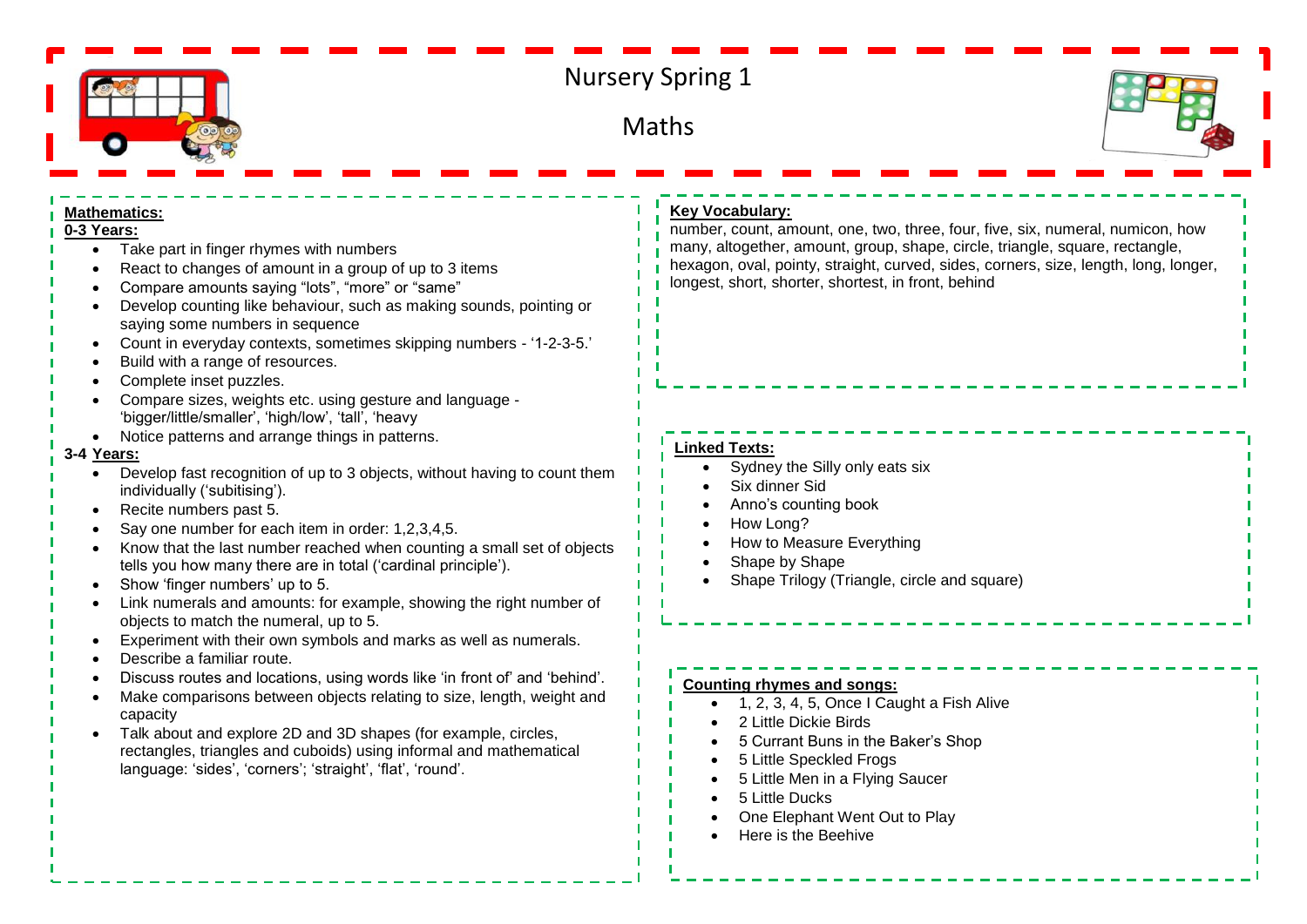

# Nursery Spring 1

**Maths** 



#### **Mathematics:**

### **0-3 Years:**

- Take part in finger rhymes with numbers
- React to changes of amount in a group of up to 3 items
- Compare amounts saying "lots", "more" or "same"
- Develop counting like behaviour, such as making sounds, pointing or saying some numbers in sequence
- Count in everyday contexts, sometimes skipping numbers '1-2-3-5.'
- Build with a range of resources.
- Complete inset puzzles.
- Compare sizes, weights etc. using gesture and language 'bigger/little/smaller', 'high/low', 'tall', 'heavy
- Notice patterns and arrange things in patterns.

#### **3-4 Years:**

- Develop fast recognition of up to 3 objects, without having to count them individually ('subitising').
- Recite numbers past 5.
- Say one number for each item in order: 1,2,3,4,5.
- Know that the last number reached when counting a small set of objects tells you how many there are in total ('cardinal principle').
- Show 'finger numbers' up to 5.
- Link numerals and amounts: for example, showing the right number of objects to match the numeral, up to 5.
- Experiment with their own symbols and marks as well as numerals.
- Describe a familiar route.
- Discuss routes and locations, using words like 'in front of' and 'behind'.
- Make comparisons between objects relating to size, length, weight and capacity
- Talk about and explore 2D and 3D shapes (for example, circles, rectangles, triangles and cuboids) using informal and mathematical language: 'sides', 'corners'; 'straight', 'flat', 'round'.

# **Key Vocabulary:**

number, count, amount, one, two, three, four, five, six, numeral, numicon, how many, altogether, amount, group, shape, circle, triangle, square, rectangle, hexagon, oval, pointy, straight, curved, sides, corners, size, length, long, longer, longest, short, shorter, shortest, in front, behind

## **Linked Texts:**

- Sydney the Silly only eats six
- Six dinner Sid
- Anno's counting book
- How Long?
- How to Measure Everything
- Shape by Shape
- Shape Trilogy (Triangle, circle and square)

#### **Counting rhymes and songs:**

- 1, 2, 3, 4, 5, Once I Caught a Fish Alive
- 2 Little Dickie Birds
- 5 Currant Buns in the Baker's Shop
- 5 Little Speckled Frogs
- 5 Little Men in a Flying Saucer
- 5 Little Ducks
- One Elephant Went Out to Play
- Here is the Beehive